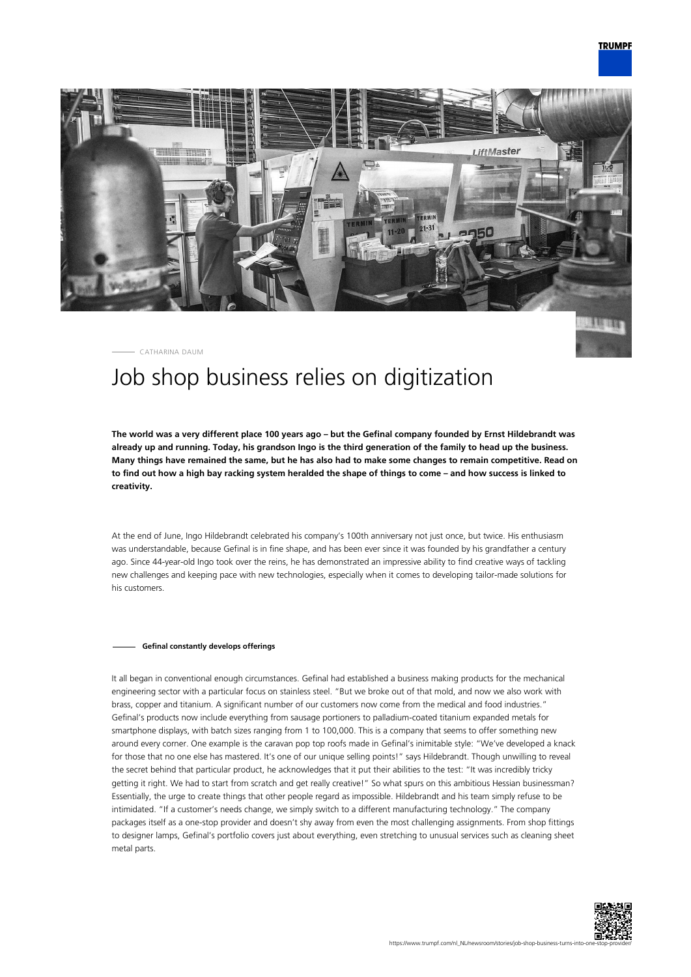

CATHARINA DAUM

## Job shop business relies on digitization

**The world was a very different place 100 years ago – but the Gefinal company founded by Ernst Hildebrandt was already up and running. Today, his grandson Ingo is the third generation of the family to head up the business. Many things have remained the same, but he has also had to make some changes to remain competitive. Read on to find out how a high bay racking system heralded the shape of things to come – and how success is linked to creativity.**

At the end of June, Ingo Hildebrandt celebrated his company's 100th anniversary not just once, but twice. His enthusiasm was understandable, because Gefinal is in fine shape, and has been ever since it was founded by his grandfather a century ago. Since 44-year-old Ingo took over the reins, he has demonstrated an impressive ability to find creative ways of tackling new challenges and keeping pace with new technologies, especially when it comes to developing tailor-made solutions for his customers.

## **Gefinal constantly develops offerings**

It all began in conventional enough circumstances. Gefinal had established a business making products for the mechanical engineering sector with a particular focus on stainless steel. "But we broke out of that mold, and now we also work with brass, copper and titanium. A significant number of our customers now come from the medical and food industries." Gefinal's products now include everything from sausage portioners to palladium-coated titanium expanded metals for smartphone displays, with batch sizes ranging from 1 to 100,000. This is a company that seems to offer something new around every corner. One example is the caravan pop top roofs made in Gefinal's inimitable style: "We've developed a knack for those that no one else has mastered. It's one of our unique selling points!" says Hildebrandt. Though unwilling to reveal the secret behind that particular product, he acknowledges that it put their abilities to the test: "It was incredibly tricky getting it right. We had to start from scratch and get really creative!" So what spurs on this ambitious Hessian businessman? Essentially, the urge to create things that other people regard as impossible. Hildebrandt and his team simply refuse to be intimidated. "If a customer's needs change, we simply switch to a different manufacturing technology." The company packages itself as a one-stop provider and doesn't shy away from even the most challenging assignments. From shop fittings to designer lamps, Gefinal's portfolio covers just about everything, even stretching to unusual services such as cleaning sheet metal parts.

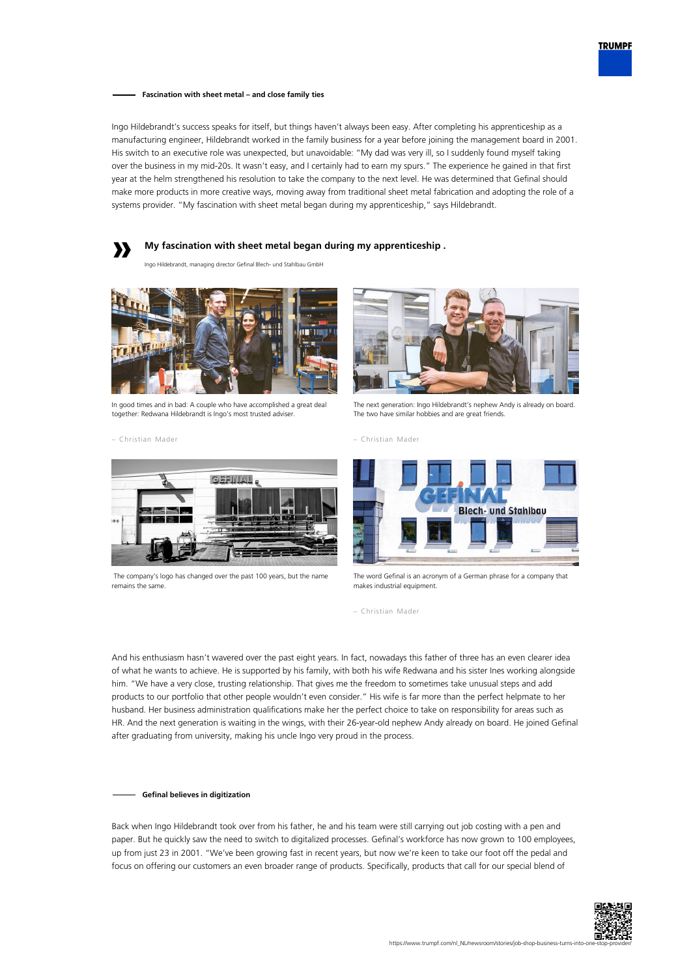

**Fascination with sheet metal – and close family ties**

Ingo Hildebrandt's success speaks for itself, but things haven't always been easy. After completing his apprenticeship as a manufacturing engineer, Hildebrandt worked in the family business for a year before joining the management board in 2001. His switch to an executive role was unexpected, but unavoidable: "My dad was very ill, so I suddenly found myself taking over the business in my mid-20s. It wasn't easy, and I certainly had to earn my spurs." The experience he gained in that first year at the helm strengthened his resolution to take the company to the next level. He was determined that Gefinal should make more products in more creative ways, moving away from traditional sheet metal fabrication and adopting the role of a systems provider. "My fascination with sheet metal began during my apprenticeship," says Hildebrandt.



Ingo Hildebrandt, managing director Gefinal Blech- und Stahlbau GmbH



In good times and in bad: A couple who have accomplished a great deal together: Redwana Hildebrandt is Ingo's most trusted adviser.

– Christian Mader



The next generation: Ingo Hildebrandt's nephew Andy is already on board. The two have similar hobbies and are great friends.





 The company's logo has changed over the past 100 years, but the name remains the same.



The word Gefinal is an acronym of a German phrase for a company that makes industrial equipment.

– Christian Mader

And his enthusiasm hasn't wavered over the past eight years. In fact, nowadays this father of three has an even clearer idea of what he wants to achieve. He is supported by his family, with both his wife Redwana and his sister Ines working alongside him. "We have a very close, trusting relationship. That gives me the freedom to sometimes take unusual steps and add products to our portfolio that other people wouldn't even consider." His wife is far more than the perfect helpmate to her husband. Her business administration qualifications make her the perfect choice to take on responsibility for areas such as HR. And the next generation is waiting in the wings, with their 26-year-old nephew Andy already on board. He joined Gefinal after graduating from university, making his uncle Ingo very proud in the process.

## **Gefinal believes in digitization**

Back when Ingo Hildebrandt took over from his father, he and his team were still carrying out job costing with a pen and paper. But he quickly saw the need to switch to digitalized processes. Gefinal's workforce has now grown to 100 employees, up from just 23 in 2001. "We've been growing fast in recent years, but now we're keen to take our foot off the pedal and focus on offering our customers an even broader range of products. Specifically, products that call for our special blend of

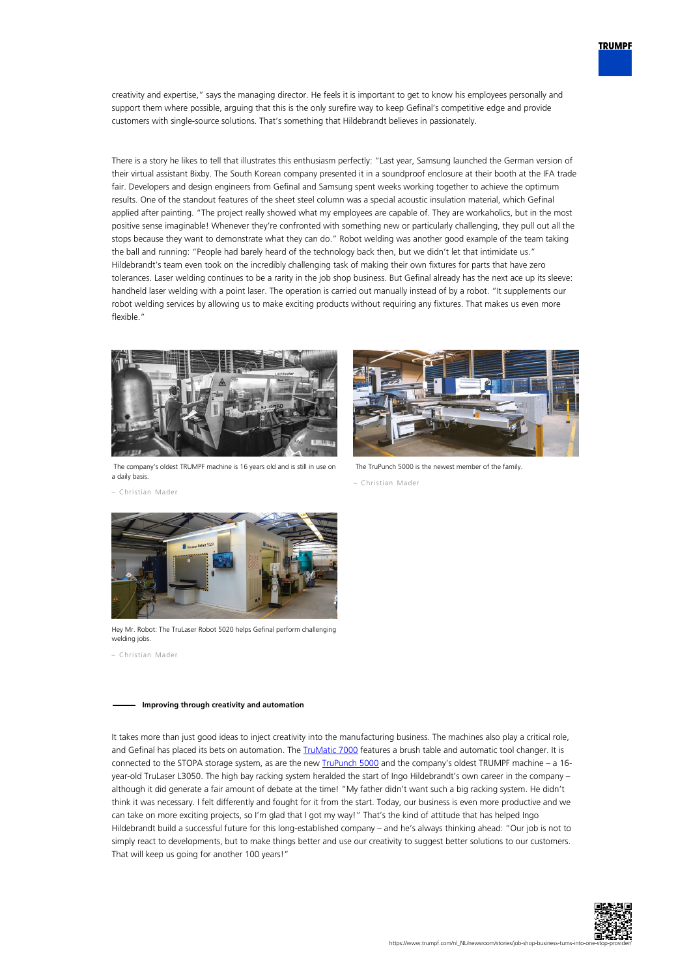

creativity and expertise," says the managing director. He feels it is important to get to know his employees personally and support them where possible, arguing that this is the only surefire way to keep Gefinal's competitive edge and provide customers with single-source solutions. That's something that Hildebrandt believes in passionately.

There is a story he likes to tell that illustrates this enthusiasm perfectly: "Last year, Samsung launched the German version of their virtual assistant Bixby. The South Korean company presented it in a soundproof enclosure at their booth at the IFA trade fair. Developers and design engineers from Gefinal and Samsung spent weeks working together to achieve the optimum results. One of the standout features of the sheet steel column was a special acoustic insulation material, which Gefinal applied after painting. "The project really showed what my employees are capable of. They are workaholics, but in the most positive sense imaginable! Whenever they're confronted with something new or particularly challenging, they pull out all the stops because they want to demonstrate what they can do." Robot welding was another good example of the team taking the ball and running: "People had barely heard of the technology back then, but we didn't let that intimidate us." Hildebrandt's team even took on the incredibly challenging task of making their own fixtures for parts that have zero tolerances. Laser welding continues to be a rarity in the job shop business. But Gefinal already has the next ace up its sleeve: handheld laser welding with a point laser. The operation is carried out manually instead of by a robot. "It supplements our robot welding services by allowing us to make exciting products without requiring any fixtures. That makes us even more flexible."



 The company's oldest TRUMPF machine is 16 years old and is still in use on a daily basis.



The TruPunch 5000 is the newest member of the family.

– Christian Mader

– Christian Mader



Hey Mr. Robot: The TruLaser Robot 5020 helps Gefinal perform challenging welding jobs.

– Christian Mader

## **Improving through creativity and automation**

It takes more than just good ideas to inject creativity into the manufacturing business. The machines also play a critical role, and Gefinal has placed its bets on automation. The *TruMatic 7000* features a brush table and automatic tool changer. It is connected to the STOPA storage system, as are the new **[TruPunch 5000](https://www.trumpf.com/nl_NL/producten/machines-systemen/ponsmachines/trupunch-5000/)** and the company's oldest TRUMPF machine – a 16year-old TruLaser L3050. The high bay racking system heralded the start of Ingo Hildebrandt's own career in the company – although it did generate a fair amount of debate at the time! "My father didn't want such a big racking system. He didn't think it was necessary. I felt differently and fought for it from the start. Today, our business is even more productive and we can take on more exciting projects, so I'm glad that I got my way!" That's the kind of attitude that has helped Ingo Hildebrandt build a successful future for this long-established company – and he's always thinking ahead: "Our job is not to simply react to developments, but to make things better and use our creativity to suggest better solutions to our customers. That will keep us going for another 100 years!"